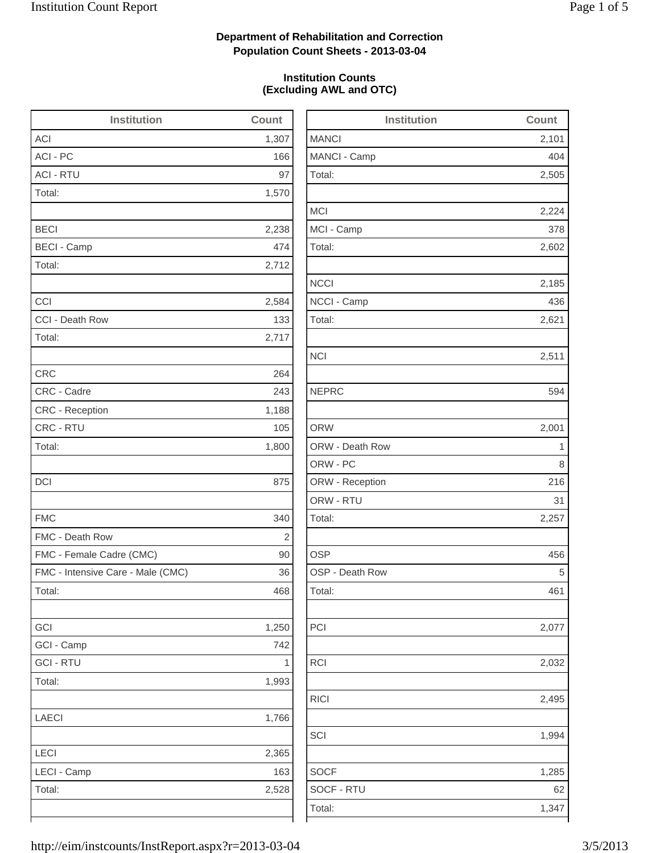# **Department of Rehabilitation and Correction Population Count Sheets - 2013-03-04**

## **Institution Counts (Excluding AWL and OTC)**

| <b>Institution</b>                | <b>Count</b>   | Insti                  |
|-----------------------------------|----------------|------------------------|
| <b>ACI</b>                        | 1,307          | <b>MANCI</b>           |
| ACI - PC                          | 166            | MANCI - Camp           |
| <b>ACI - RTU</b>                  | 97             | Total:                 |
| Total:                            | 1,570          |                        |
|                                   |                | <b>MCI</b>             |
| <b>BECI</b>                       | 2,238          | MCI - Camp             |
| <b>BECI - Camp</b>                | 474            | Total:                 |
| Total:                            | 2,712          |                        |
|                                   |                | <b>NCCI</b>            |
| CCI                               | 2,584          | NCCI - Camp            |
| CCI - Death Row                   | 133            | Total:                 |
| Total:                            | 2,717          |                        |
|                                   |                | <b>NCI</b>             |
| <b>CRC</b>                        | 264            |                        |
| CRC - Cadre                       | 243            | <b>NEPRC</b>           |
| <b>CRC</b> - Reception            | 1,188          |                        |
| CRC - RTU                         | 105            | <b>ORW</b>             |
| Total:                            | 1,800          | <b>ORW - Death Row</b> |
|                                   |                | ORW - PC               |
| DCI                               | 875            | ORW - Reception        |
|                                   |                | ORW - RTU              |
| <b>FMC</b>                        | 340            | Total:                 |
| FMC - Death Row                   | $\overline{2}$ |                        |
| FMC - Female Cadre (CMC)          | 90             | <b>OSP</b>             |
| FMC - Intensive Care - Male (CMC) | 36             | OSP - Death Row        |
| Total:                            | 468            | Total:                 |
|                                   |                |                        |
| GCI                               | 1,250          | PCI                    |
| GCI - Camp                        | 742            |                        |
| <b>GCI - RTU</b>                  | 1              | <b>RCI</b>             |
| Total:                            | 1,993          |                        |
|                                   |                | <b>RICI</b>            |
| <b>LAECI</b>                      | 1,766          |                        |
|                                   |                | SCI                    |
| LECI                              | 2,365          |                        |
| LECI - Camp                       | 163            | <b>SOCF</b>            |
| Total:                            | 2,528          | SOCF - RTU             |
|                                   |                | Total:                 |
|                                   |                |                        |

| <b>Institution</b> | <b>Count</b> |
|--------------------|--------------|
| <b>MANCI</b>       | 2,101        |
| MANCI - Camp       | 404          |
| Total:             | 2,505        |
| <b>MCI</b>         | 2,224        |
| MCI - Camp         | 378          |
| Total:             | 2,602        |
| <b>NCCI</b>        | 2,185        |
| NCCI - Camp        | 436          |
| Total:             | 2,621        |
| <b>NCI</b>         | 2,511        |
| <b>NEPRC</b>       | 594          |
| <b>ORW</b>         | 2,001        |
| ORW - Death Row    | 1            |
| ORW - PC           | 8            |
| ORW - Reception    | 216          |
| ORW - RTU          | 31           |
| Total:             | 2,257        |
| <b>OSP</b>         | 456          |
| OSP - Death Row    | 5            |
| Total:             | 461          |
| PCI                | 2,077        |
| <b>RCI</b>         | 2,032        |
| <b>RICI</b>        | 2,495        |
| SCI                | 1,994        |
| <b>SOCF</b>        | 1,285        |
| SOCF - RTU         | 62           |
| Total:             | 1,347        |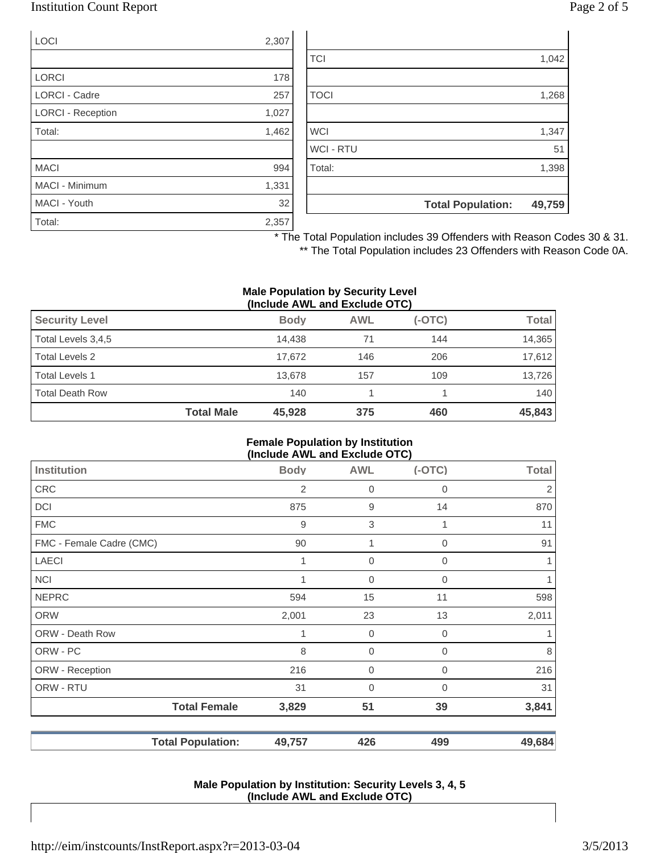# Institution Count Report Page 2 of 5

| <b>LOCI</b>              | 2,307 |
|--------------------------|-------|
|                          |       |
| <b>LORCI</b>             | 178   |
| <b>LORCI - Cadre</b>     | 257   |
| <b>LORCI - Reception</b> | 1,027 |
| Total:                   | 1,462 |
|                          |       |
| <b>MACI</b>              | 994   |
| MACI - Minimum           | 1,331 |
| MACI - Youth             | 32    |
| Total:                   | 2,357 |

| 1,398 |
|-------|
| 51    |
| 1,347 |
|       |
| 1,268 |
|       |
| 1,042 |
|       |

\* The Total Population includes 39 Offenders with Reason Codes 30 & 31.

\*\* The Total Population includes 23 Offenders with Reason Code 0A.

#### **Male Population by Security Level (Include AWL and Exclude OTC)**

| $\mathbf{u}$           |                   |             |            |          |              |
|------------------------|-------------------|-------------|------------|----------|--------------|
| <b>Security Level</b>  |                   | <b>Body</b> | <b>AWL</b> | $(-OTC)$ | <b>Total</b> |
| Total Levels 3,4,5     |                   | 14.438      | 71         | 144      | 14,365       |
| Total Levels 2         |                   | 17.672      | 146        | 206      | 17,612       |
| <b>Total Levels 1</b>  |                   | 13.678      | 157        | 109      | 13,726       |
| <b>Total Death Row</b> |                   | 140         |            |          | 140          |
|                        | <b>Total Male</b> | 45,928      | 375        | 460      | 45,843       |

#### **Female Population by Institution (Include AWL and Exclude OTC)**

|                          |             | $100000$ And and Explans $0.0$ |             |                |
|--------------------------|-------------|--------------------------------|-------------|----------------|
| Institution              | <b>Body</b> | <b>AWL</b>                     | $(-OTC)$    | <b>Total</b>   |
| <b>CRC</b>               | 2           | $\mathbf 0$                    | 0           | $\overline{2}$ |
| <b>DCI</b>               | 875         | 9                              | 14          | 870            |
| <b>FMC</b>               | 9           | 3                              |             | 11             |
| FMC - Female Cadre (CMC) | 90          | 1                              | $\mathbf 0$ | 91             |
| <b>LAECI</b>             | 1           | $\mathbf 0$                    | $\mathbf 0$ | 1              |
| <b>NCI</b>               |             | $\mathbf 0$                    | 0           | 1              |
| <b>NEPRC</b>             | 594         | 15                             | 11          | 598            |
| <b>ORW</b>               | 2,001       | 23                             | 13          | 2,011          |
| ORW - Death Row          |             | $\mathbf 0$                    | $\mathbf 0$ |                |
| ORW - PC                 | 8           | $\mathbf 0$                    | $\mathbf 0$ | 8              |
| ORW - Reception          | 216         | $\mathbf 0$                    | $\mathbf 0$ | 216            |
| ORW - RTU                | 31          | $\overline{0}$                 | $\mathbf 0$ | 31             |
| <b>Total Female</b>      | 3,829       | 51                             | 39          | 3,841          |
| <b>Total Population:</b> | 49,757      | 426                            | 499         | 49,684         |

#### **Male Population by Institution: Security Levels 3, 4, 5 (Include AWL and Exclude OTC)**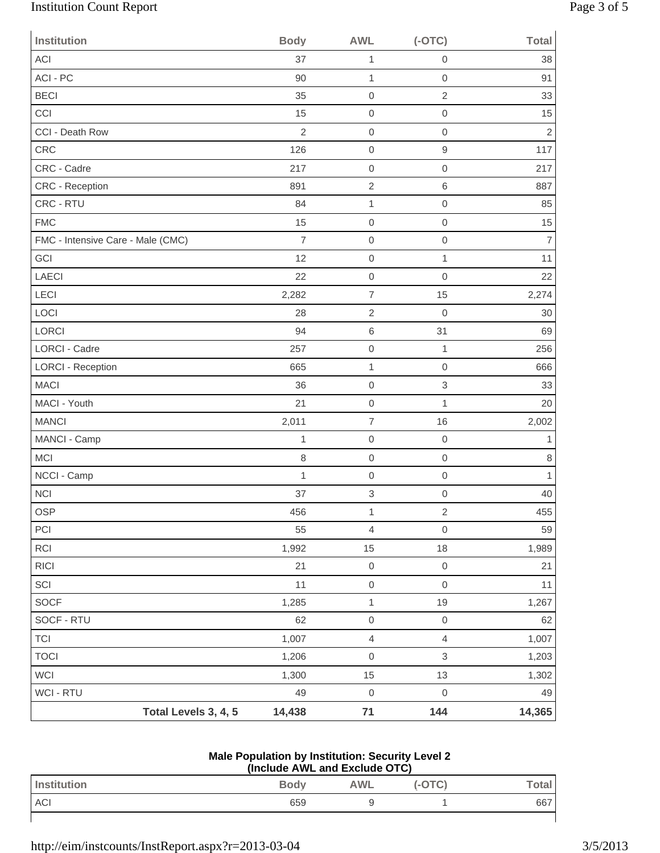# Institution Count Report Page 3 of 5

| <b>Institution</b>                | <b>Body</b>    | <b>AWL</b>               | $(-OTC)$                  | <b>Total</b>   |
|-----------------------------------|----------------|--------------------------|---------------------------|----------------|
| <b>ACI</b>                        | 37             | 1                        | $\mathbf 0$               | 38             |
| ACI - PC                          | 90             | $\mathbf{1}$             | $\mathbf 0$               | 91             |
| <b>BECI</b>                       | 35             | $\mathbf 0$              | $\overline{2}$            | 33             |
| CCI                               | 15             | $\mathbf 0$              | $\mathbf 0$               | 15             |
| CCI - Death Row                   | $\overline{2}$ | $\mathbf 0$              | $\boldsymbol{0}$          | $\sqrt{2}$     |
| CRC                               | 126            | $\mbox{O}$               | $\mathsf g$               | 117            |
| CRC - Cadre                       | 217            | $\mathbf 0$              | $\mathbf 0$               | 217            |
| <b>CRC - Reception</b>            | 891            | $\overline{2}$           | $6\,$                     | 887            |
| CRC - RTU                         | 84             | $\mathbf{1}$             | $\mathbf 0$               | 85             |
| <b>FMC</b>                        | 15             | $\mathbf 0$              | $\boldsymbol{0}$          | 15             |
| FMC - Intensive Care - Male (CMC) | $\overline{7}$ | $\mathbf 0$              | $\mathbf 0$               | $\overline{7}$ |
| GCI                               | 12             | $\mathbf 0$              | $\mathbf{1}$              | 11             |
| <b>LAECI</b>                      | 22             | $\mathbf 0$              | $\mathbf 0$               | 22             |
| LECI                              | 2,282          | $\overline{\mathcal{I}}$ | 15                        | 2,274          |
| LOCI                              | 28             | $\sqrt{2}$               | $\mathbf 0$               | 30             |
| LORCI                             | 94             | 6                        | 31                        | 69             |
| <b>LORCI - Cadre</b>              | 257            | $\mathbf 0$              | $\mathbf{1}$              | 256            |
| <b>LORCI - Reception</b>          | 665            | $\mathbf{1}$             | $\mathbf 0$               | 666            |
| <b>MACI</b>                       | 36             | $\mathsf{O}\xspace$      | $\ensuremath{\mathsf{3}}$ | 33             |
| MACI - Youth                      | 21             | $\mathbf 0$              | $\mathbf{1}$              | 20             |
| <b>MANCI</b>                      | 2,011          | $\overline{7}$           | 16                        | 2,002          |
| MANCI - Camp                      | 1              | $\mathbf 0$              | $\mathbf 0$               | $\mathbf{1}$   |
| <b>MCI</b>                        | 8              | $\mathbf 0$              | $\mathbf 0$               | $\,8\,$        |
| NCCI - Camp                       | 1              | $\mathbf 0$              | $\mathbf 0$               | $\mathbf{1}$   |
| <b>NCI</b>                        | 37             | 3                        | $\mathbf 0$               | 40             |
| OSP                               | 456            | $\mathbf{1}$             | $\sqrt{2}$                | 455            |
| PCI                               | 55             | $\overline{4}$           | $\mathbf 0$               | 59             |
| RCI                               | 1,992          | 15                       | 18                        | 1,989          |
| <b>RICI</b>                       | 21             | $\mathsf{O}\xspace$      | $\mbox{O}$                | 21             |
| SCI                               | 11             | $\mathsf{O}\xspace$      | $\mathbf 0$               | 11             |
| <b>SOCF</b>                       | 1,285          | $\mathbf{1}$             | 19                        | 1,267          |
| SOCF - RTU                        | 62             | $\,0\,$                  | $\,0\,$                   | 62             |
| <b>TCI</b>                        | 1,007          | $\overline{4}$           | $\overline{4}$            | 1,007          |
| <b>TOCI</b>                       | 1,206          | $\mathsf{O}\xspace$      | $\,$ 3 $\,$               | 1,203          |
| <b>WCI</b>                        | 1,300          | 15                       | 13                        | 1,302          |
| WCI - RTU                         | 49             | $\mathsf{O}\xspace$      | $\mathbf 0$               | 49             |
| Total Levels 3, 4, 5              | 14,438         | $71$                     | 144                       | 14,365         |

## **Male Population by Institution: Security Level 2 (Include AWL and Exclude OTC)**

| (include AWL and Exclude OTC) |             |     |        |       |
|-------------------------------|-------------|-----|--------|-------|
| Institution                   | <b>Body</b> | AWL | (-OTC) | Гоtal |
| <b>ACI</b>                    | 659         |     |        | 667   |
|                               |             |     |        |       |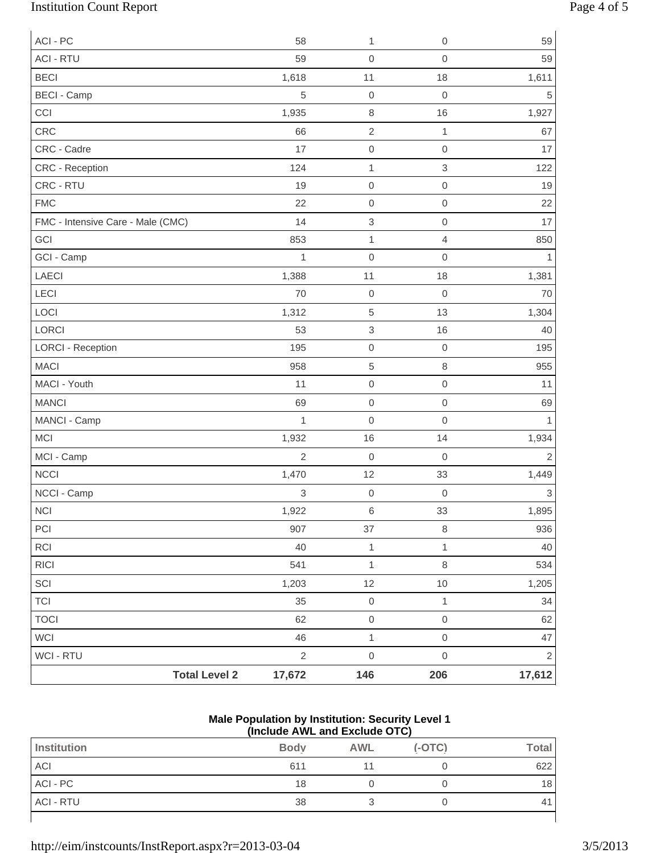# Institution Count Report Page 4 of 5

| ACI - PC                             | 58             | 1                         | $\mathbf 0$               | 59             |
|--------------------------------------|----------------|---------------------------|---------------------------|----------------|
| <b>ACI - RTU</b>                     | 59             | $\mathbf 0$               | $\mathbf 0$               | 59             |
| <b>BECI</b>                          | 1,618          | 11                        | 18                        | 1,611          |
| <b>BECI - Camp</b>                   | 5              | $\boldsymbol{0}$          | $\mathbf 0$               | 5              |
| CCI                                  | 1,935          | $\,8\,$                   | 16                        | 1,927          |
| CRC                                  | 66             | $\sqrt{2}$                | $\mathbf{1}$              | 67             |
| CRC - Cadre                          | 17             | $\mbox{O}$                | $\mathbf 0$               | 17             |
| CRC - Reception                      | 124            | $\mathbf 1$               | $\ensuremath{\mathsf{3}}$ | 122            |
| CRC - RTU                            | 19             | $\mathbf 0$               | $\mathbf 0$               | 19             |
| <b>FMC</b>                           | 22             | $\mathbf 0$               | $\mathbf 0$               | 22             |
| FMC - Intensive Care - Male (CMC)    | 14             | $\ensuremath{\mathsf{3}}$ | $\mbox{O}$                | 17             |
| GCI                                  | 853            | $\mathbf{1}$              | 4                         | 850            |
| GCI - Camp                           | 1              | $\mbox{O}$                | $\mathbf 0$               | 1              |
| LAECI                                | 1,388          | 11                        | 18                        | 1,381          |
| LECI                                 | 70             | $\mathbf 0$               | $\mathbf 0$               | 70             |
| LOCI                                 | 1,312          | $\,$ 5 $\,$               | 13                        | 1,304          |
| LORCI                                | 53             | $\ensuremath{\mathsf{3}}$ | 16                        | 40             |
| <b>LORCI - Reception</b>             | 195            | $\mathbf 0$               | $\mathbf 0$               | 195            |
| <b>MACI</b>                          | 958            | $\overline{5}$            | 8                         | 955            |
| MACI - Youth                         | 11             | $\mathbf 0$               | $\mathbf 0$               | 11             |
| <b>MANCI</b>                         | 69             | $\mathbf 0$               | $\mathbf 0$               | 69             |
| MANCI - Camp                         | 1              | $\mathbf 0$               | $\mathbf 0$               | 1              |
| MCI                                  | 1,932          | 16                        | 14                        | 1,934          |
| MCI - Camp                           | $\overline{2}$ | $\boldsymbol{0}$          | $\mathbf 0$               | $\overline{2}$ |
| <b>NCCI</b>                          | 1,470          | 12                        | 33                        | 1,449          |
| NCCI - Camp                          | 3              | $\mbox{O}$                | $\boldsymbol{0}$          | $\,$ 3 $\,$    |
| <b>NCI</b>                           | 1,922          | $\,6\,$                   | 33                        | 1,895          |
| PCI                                  | 907            | 37                        | 8                         | 936            |
| RCI                                  | 40             | $\mathbf 1$               | $\mathbf{1}$              | 40             |
| $\ensuremath{\mathsf{R}\mathsf{IC}}$ | 541            | $\mathbf 1$               | 8                         | 534            |
| SCI                                  | 1,203          | 12                        | $10$                      | 1,205          |
| <b>TCI</b>                           | 35             | $\mathsf{O}\xspace$       | 1                         | 34             |
| <b>TOCI</b>                          | 62             | $\mathsf{O}\xspace$       | $\mathbf 0$               | 62             |
| WCI                                  | 46             | $\mathbf 1$               | $\mathbf 0$               | 47             |
| WCI - RTU                            | $\sqrt{2}$     | $\mbox{O}$                | $\,0\,$                   | $\overline{2}$ |
| <b>Total Level 2</b>                 | 17,672         | 146                       | 206                       | 17,612         |

#### **Male Population by Institution: Security Level 1 (Include AWL and Exclude OTC)**

| Institution      | <b>Body</b> | <b>AWL</b> | $(-OTC)$ | <b>Total</b> |
|------------------|-------------|------------|----------|--------------|
| ACI              | 611         |            |          | 622          |
| ACI - PC         | 18          |            |          | 18           |
| <b>ACI - RTU</b> | 38          |            |          | 41           |
|                  |             |            |          |              |